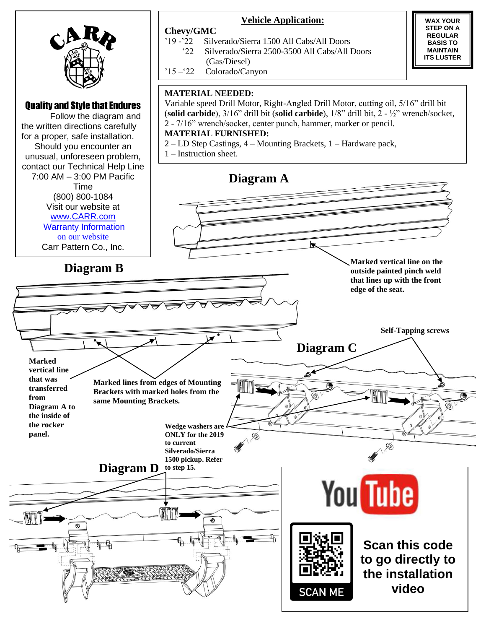